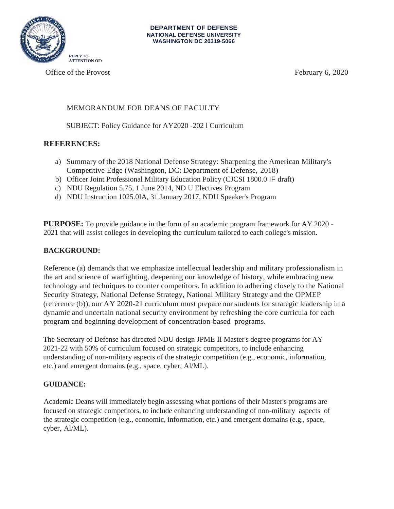

Office of the Provost **February 6, 2020** 

# MEMORANDUM FOR DEANS OF FACULTY

SUBJECT: Policy Guidance for AY2020 -202 l Curriculum

# **REFERENCES:**

- a) Summary of the 2018 National Defense Strategy: Sharpening the American Military's Competitive Edge (Washington, DC: Department of Defense, 2018)
- b) Officer Joint Professional Military Education Policy (CJCSI 1800.0 IF draft)
- c) NDU Regulation 5.75, 1 June 2014, ND U Electives Program
- d) NDU Instruction 1025.0IA, 31 January 2017, NDU Speaker's Program

**PURPOSE:** To provide guidance in the form of an academic program framework for AY 2020 - 2021 that will assist colleges in developing the curriculum tailored to each college's mission.

# **BACKGROUND:**

Reference (a) demands that we emphasize intellectual leadership and military professionalism in the art and science of warfighting, deepening our knowledge of history, while embracing new technology and techniques to counter competitors. In addition to adhering closely to the National Security Strategy, National Defense Strategy, National Military Strategy and the OPMEP (reference (b)), our AY 2020-21 curriculum must prepare our students for strategic leadership in a dynamic and uncertain national security environment by refreshing the core curricula for each program and beginning development of concentration-based programs.

The Secretary of Defense has directed NDU design JPME II Master's degree programs for AY 2021-22 with 50% of curriculum focused on strategic competitors, to include enhancing understanding of non-military aspects of the strategic competition (e.g., economic, information, etc.) and emergent domains (e.g., space, cyber, Al/ML).

### **GUIDANCE:**

Academic Deans will immediately begin assessing what portions of their Master's programs are focused on strategic competitors, to include enhancing understanding of non-military aspects of the strategic competition (e.g., economic, information, etc.) and emergent domains (e.g., space, cyber, Al/ML).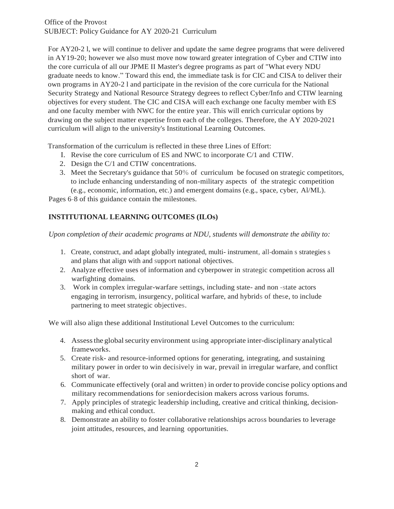For AY20-2 l, we will continue to deliver and update the same degree programs that were delivered in AY19-20; however we also must move now toward greater integration of Cyber and CTIW into the core curricula of all our JPME II Master's degree programs as part of "What every NDU graduate needs to know." Toward this end, the immediate task is for CIC and CISA to deliver their own programs in AY20-2 l and participate in the revision of the core curricula for the National Security Strategy and National Resource Strategy degrees to reflect Cyber/Info and CTIW learning objectives for every student. The CIC and CISA will each exchange one faculty member with ES and one faculty member with NWC for the entire year. This will enrich curricular options by drawing on the subject matter expertise from each of the colleges. Therefore, the AY 2020-2021 curriculum will align to the university's Institutional Learning Outcomes.

Transformation of the curriculum is reflected in these three Lines of Effort:

- I. Revise the core curriculum of ES and NWC to incorporate C/1 and CTIW.
- 2. Design the C/1 and CTIW concentrations.
- 3. Meet the Secretary's guidance that 50% of curriculum be focused on strategic competitors, to include enhancing understanding of non-military aspects of the strategic competition (e.g., economic, information, etc.) and emergent domains (e.g., space, cyber, Al/ML).

Pages 6-8 of this guidance contain the milestones.

# **INSTITUTIONAL LEARNING OUTCOMES (ILOs)**

*Upon completion of their academic programs at NDU, students will demonstrate the ability to:*

- 1. Create, construct, and adapt globally integrated, multi- instrument, all-domain s strategies s and plans that align with and support national objectives.
- 2. Analyze effective uses of information and cyberpower in strategic competition across all warfighting domains.
- 3. Work in complex irregular-warfare settings, including state- and non -state actors engaging in terrorism, insurgency, political warfare, and hybrids of these, to include partnering to meet strategic objectives.

We will also align these additional Institutional Level Outcomes to the curriculum:

- 4. Assessthe globalsecurity environment using appropriate inter-disciplinary analytical frameworks.
- 5. Create risk- and resource-informed options for generating, integrating, and sustaining military power in order to win decisively in war, prevail in irregular warfare, and conflict short of war.
- 6. Communicate effectively (oral and written) in order to provide concise policy options and military recommendations for seniordecision makers across various forums.
- 7. Apply principles of strategic leadership including, creative and critical thinking, decisionmaking and ethical conduct.
- 8. Demonstrate an ability to foster collaborative relationships across boundaries to leverage joint attitudes, resources, and learning opportunities.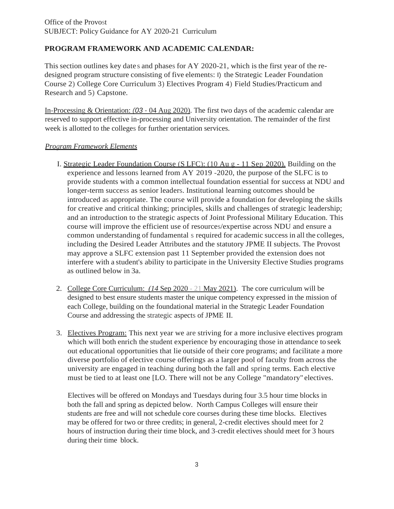# **PROGRAM FRAMEWORK AND ACADEMIC CALENDAR:**

This section outlines key date s and phases for AY 2020-21, which is the first year of the redesigned program structure consisting of five elements: I) the Strategic Leader Foundation Course 2) College Core Curriculum 3) Electives Program 4) Field Studies/Practicum and Research and 5) Capstone.

In-Processing & Orientation: *(03* - 04 Aug 2020). The first two days of the academic calendar are reserved to support effective in-processing and University orientation. The remainder of the first week is allotted to the colleges for further orientation services.

# *Program Framework Elements*

- I. Strategic Leader Foundation Course (S LFC): (10 Au g 11 Sep 2020). Building on the experience and lessons learned from AY 2019 -2020, the purpose of the SLFC is to provide students with a common intellectual foundation essential for success at NDU and longer-term success as senior leaders. Institutional learning outcomes should be introduced as appropriate. The course will provide a foundation for developing the skills for creative and critical thinking; principles, skills and challenges of strategic leadership; and an introduction to the strategic aspects of Joint Professional Military Education. This course will improve the efficient use of resources/expertise across NDU and ensure a common understanding of fundamental s required for academic success in all the colleges, including the Desired Leader Attributes and the statutory JPME II subjects. The Provost may approve a SLFC extension past 11 September provided the extension does not interfere with a student's ability to participate in the University Elective Studies programs as outlined below in 3a.
- 2. College Core Curriculum: *(14* Sep 2020 21 May 2021). The core curriculum will be designed to best ensure students master the unique competency expressed in the mission of each College, building on the foundational material in the Strategic Leader Foundation Course and addressing the strategic aspects of JPME II.
- 3. Electives Program: This next year we are striving for a more inclusive electives program which will both enrich the student experience by encouraging those in attendance to seek out educational opportunities that lie outside of their core programs; and facilitate a more diverse portfolio of elective course offerings as a larger pool of faculty from across the university are engaged in teaching during both the fall and spring terms. Each elective must be tied to at least one [LO. There will not be any College "mandatory" electives.

Electives will be offered on Mondays and Tuesdays during four 3.5 hour time blocks in both the fall and spring as depicted below. North Campus Colleges will ensure their students are free and will not schedule core courses during these time blocks. Electives may be offered for two or three credits; in general, 2-credit electives should meet for 2 hours of instruction during their time block, and 3-credit electives should meet for 3 hours during their time block.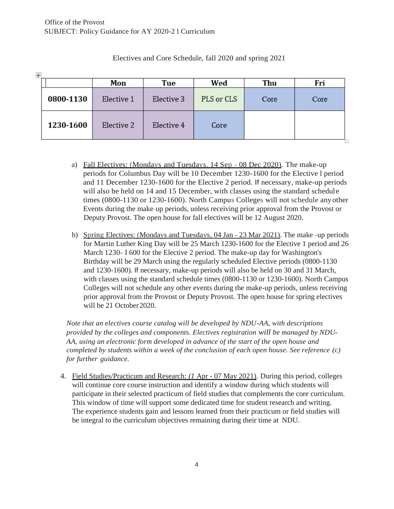$\overline{1}$ 

|           | Mon        | Tue        | Wed        | Thu  | Fri  |
|-----------|------------|------------|------------|------|------|
| 0800-1130 | Elective 1 | Elective 3 | PLS or CLS | Core | Core |
| 1230-1600 | Elective 2 | Elective 4 | Core       |      |      |

### Electives and Core Schedule, fall 2020 and spring 2021

- a) Fall Electives: (Mondays and Tuesdays. 14 Sep 08 Dec 2020). The make-up periods for Columbus Day will be 10 December 1230-1600 for the Elective l period and 11 December 1230-1600 for the Elective 2 period. If necessary, make-up periods will also be held on 14 and 15 December, with classes using the standard schedule times (0800-1130 or 1230-1600). North Campus Colleges will not schedule anyother Events during the make-up periods, unless receiving prior approval from the Provost or Deputy Provost. The open house for fall electives will be 12 August 2020.
- b) Spring Electives: (Mondays and Tuesdays, 04 Jan 23 Mar 2021). The make -up periods for Martin Luther King Day will be 25 March 1230-1600 for the Elective 1 period and 26 March 1230- I 600 for the Elective 2 period. The make-up day for Washington's Birthday will be 29 March using the regularly scheduled Elective periods (0800-1130 and 1230-1600). If necessary, make-up periods will also be held on 30 and 31 March, with classes using the standard schedule times (0800-1130 or 1230-1600). North Campus Colleges will not schedule any other events during the make-up periods, unless receiving prior approval from the Provost or Deputy Provost. The open house for spring electives will be 21 October 2020.

*Note that an electives course catalog will be developed by NDU-AA, with descriptions provided by the colleges and components. Electives registration will be managed by NDU-AA, using an electronic form developed in advance of the start of the open house and completed by students within a week of the conclusion of each open house. See reference (c) for further guidance.*

4. Field Studies/Practicum and Research: *(1* Apr - 07 May 2021). During this period, colleges will continue core course instruction and identify a window during which students will participate in their selected practicum of field studies that complements the core curriculum. This window of time will support some dedicated time for student research and writing. The experience students gain and lessons learned from their practicum or field studies will be integral to the curriculum objectives remaining during their time at NDU.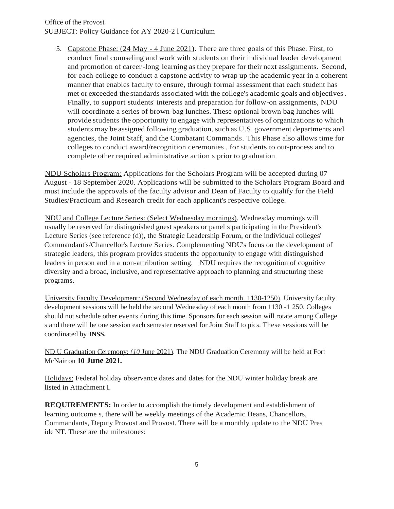5. Capstone Phase: (24 May - 4 June 2021). There are three goals of this Phase. First, to conduct final counseling and work with students on their individual leader development and promotion of career -long learning as they prepare for their next assignments. Second, for each college to conduct a capstone activity to wrap up the academic year in a coherent manner that enables faculty to ensure, through formal assessment that each student has met or exceeded the standards associated with the college's academic goals and objectives . Finally, to support students' interests and preparation for follow-on assignments, NDU will coordinate a series of brown-bag lunches. These optional brown bag lunches will provide students the opportunity to engage with representatives of organizations to which students may be assigned following graduation, such as U.S. government departments and agencies, the Joint Staff, and the Combatant Commands. This Phase also allows time for colleges to conduct award/recognition ceremonies , for students to out-process and to complete other required administrative action s prior to graduation

NDU Scholars Program: Applications for the Scholars Program will be accepted during 07 August - 18 September 2020. Applications will be submitted to the Scholars Program Board and must include the approvals of the faculty advisor and Dean of Faculty to qualify for the Field Studies/Practicum and Research credit for each applicant's respective college.

NDU and College Lecture Series: (Select Wednesday mornings). Wednesday mornings will usually be reserved for distinguished guest speakers or panel s participating in the President's Lecture Series (see reference (d)), the Strategic Leadership Forum, or the individual colleges' Commandant's/Chancellor's Lecture Series. Complementing NDU's focus on the development of strategic leaders, this program provides students the opportunity to engage with distinguished leaders in person and in a non-attribution setting. NDU requires the recognition of cognitive diversity and a broad, inclusive, and representative approach to planning and structuring these programs.

University Faculty Development: (Second Wednesday of each month. 1130-1250). University faculty development sessions will be held the second Wednesday of each month from 1130 -1 250. Colleges should not schedule other events during this time. Sponsors for each session will rotate among College s and there will be one session each semester reserved for Joint Staff to pics. These sessions will be coordinated by **INSS.**

ND U Graduation Ceremony: *(10* June 2021). The NDU Graduation Ceremony will be held at Fort McNair on **10 June 2021.**

Holidays: Federal holiday observance dates and dates for the NDU winter holiday break are listed in Attachment I.

**REQUIREMENTS:** In order to accomplish the timely development and establishment of learning outcome s, there will be weekly meetings of the Academic Deans, Chancellors, Commandants, Deputy Provost and Provost. There will be a monthly update to the NDU Pres ide NT. These are the miles tones: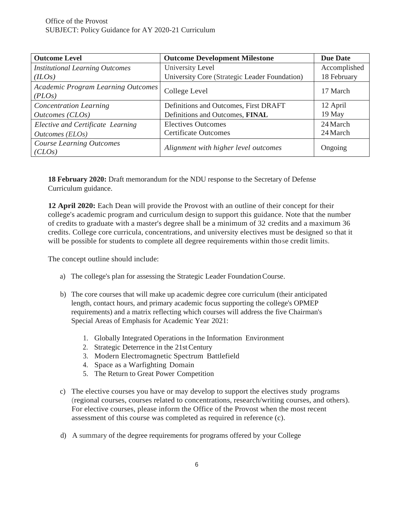| <b>Outcome Level</b>                         | <b>Outcome Development Milestone</b>          | <b>Due Date</b> |
|----------------------------------------------|-----------------------------------------------|-----------------|
| <b>Institutional Learning Outcomes</b>       | University Level                              | Accomplished    |
| (ILOs)                                       | University Core (Strategic Leader Foundation) | 18 February     |
| Academic Program Learning Outcomes<br>(PLOs) | College Level                                 | 17 March        |
| <b>Concentration Learning</b>                | Definitions and Outcomes, First DRAFT         | 12 April        |
| Outcomes (CLOs)                              | Definitions and Outcomes, FINAL               | 19 May          |
| Elective and Certificate Learning            | <b>Electives Outcomes</b>                     | 24 March        |
| Outcomes (ELOs)                              | <b>Certificate Outcomes</b>                   | 24 March        |
| <b>Course Learning Outcomes</b><br>(CLOs)    | Alignment with higher level outcomes          | Ongoing         |

**18 February 2020:** Draft memorandum for the NDU response to the Secretary of Defense Curriculum guidance.

**12 April 2020:** Each Dean will provide the Provost with an outline of their concept for their college's academic program and curriculum design to support this guidance. Note that the number of credits to graduate with a master's degree shall be a minimum of 32 credits and a maximum 36 credits. College core curricula, concentrations, and university electives must be designed so that it will be possible for students to complete all degree requirements within those credit limits.

The concept outline should include:

- a) The college's plan for assessing the Strategic Leader FoundationCourse.
- b) The core courses that will make up academic degree core curriculum (their anticipated length, contact hours, and primary academic focus supporting the college's OPMEP requirements) and a matrix reflecting which courses will address the five Chairman's Special Areas of Emphasis for Academic Year 2021:
	- 1. Globally Integrated Operations in the Information Environment
	- 2. Strategic Deterrence in the 21st Century
	- 3. Modern Electromagnetic Spectrum Battlefield
	- 4. Space as a Warfighting Domain
	- 5. The Return to Great Power Competition
- c) The elective courses you have or may develop to support the electives study programs (regional courses, courses related to concentrations, research/writing courses, and others). For elective courses, please inform the Office of the Provost when the most recent assessment of this course was completed as required in reference (c).
- d) A summary of the degree requirements for programs offered by your College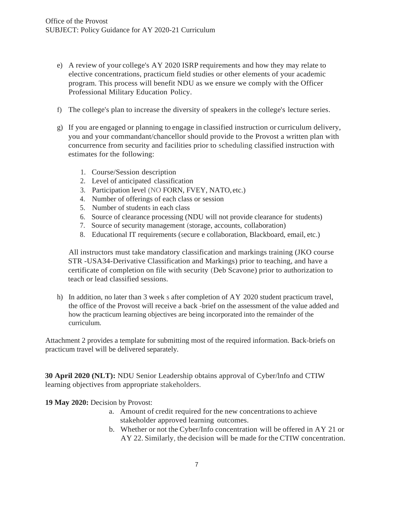- e) A review of your college's AY 2020 ISRP requirements and how they may relate to elective concentrations, practicum field studies or other elements of your academic program. This process will benefit NDU as we ensure we comply with the Officer Professional Military Education Policy.
- f) The college's plan to increase the diversity of speakers in the college's lecture series.
- g) If you are engaged or planning to engage in classified instruction or curriculum delivery, you and your commandant/chancellor should provide to the Provost a written plan with concurrence from security and facilities prior to scheduling classified instruction with estimates for the following:
	- 1. Course/Session description
	- 2. Level of anticipated classification
	- 3. Participation level (NO FORN, FVEY, NATO, etc.)
	- 4. Number of offerings of each class or session
	- 5. Number of students in each class
	- 6. Source of clearance processing (NDU will not provide clearance for students)
	- 7. Source of security management (storage, accounts, collaboration)
	- 8. Educational IT requirements (secure e collaboration, Blackboard, email, etc.)

All instructors must take mandatory classification and markings training (JKO course STR -USA34-Derivative Classification and Markings) prior to teaching, and have a certificate of completion on file with security (Deb Scavone) prior to authorization to teach or lead classified sessions.

h) In addition, no later than 3 week s after completion of AY 2020 student practicum travel, the office of the Provost will receive a back -brief on the assessment of the value added and how the practicum learning objectives are being incorporated into the remainder of the curriculum.

Attachment 2 provides a template for submitting most of the required information. Back-briefs on practicum travel will be delivered separately.

**30 April 2020 (NLT):** NDU Senior Leadership obtains approval of Cyber/lnfo and CTIW learning objectives from appropriate stakeholders.

**19 May 2020:** Decision by Provost:

- a. Amount of credit required for the new concentrationsto achieve stakeholder approved learning outcomes.
- b. Whether or not the Cyber/Info concentration will be offered in AY 21 or AY 22. Similarly, the decision will be made for the CTIW concentration.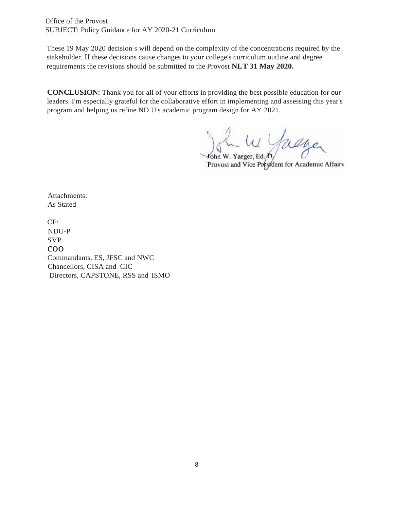Office of the Provost SUBJECT: Policy Guidance for AY 2020-21 Curriculum

These 19 May 2020 decision s will depend on the complexity of the concentrations required by the stakeholder. If these decisions cause changes to your college's curriculum outline and degree requirements the revisions should be submitted to the Provost **NLT 31 May 2020.**

**CONCLUSION:** Thank you for all of your efforts in providing the best possible education for our leaders. I'm especially grateful for the collaborative effort in implementing and assessing this year's program and helping us refine ND U's academic program design for AY 2021.

John W. Yaeger, Ed. D. Guerger

Attachments: As Stated

CF: NDU-P SVP coo Commandants, ES, JFSC and NWC Chancellors, CISA and CIC Directors, CAPSTONE, RSS and ISMO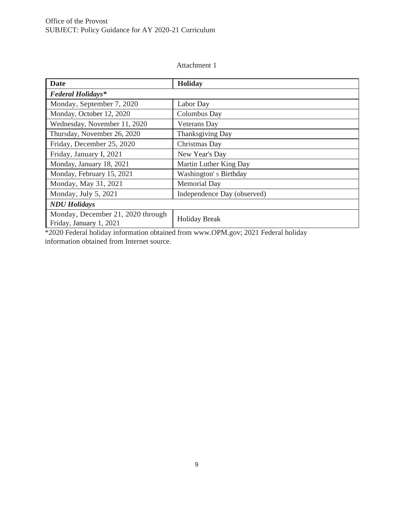#### Attachment 1

| <b>Date</b>                                                  | <b>Holiday</b>              |  |  |  |  |
|--------------------------------------------------------------|-----------------------------|--|--|--|--|
| <b>Federal Holidays*</b>                                     |                             |  |  |  |  |
| Monday, September 7, 2020                                    | Labor Day                   |  |  |  |  |
| Monday, October 12, 2020                                     | Columbus Day                |  |  |  |  |
| Wednesday, November 11, 2020                                 | <b>Veterans</b> Day         |  |  |  |  |
| Thursday, November 26, 2020                                  | Thanksgiving Day            |  |  |  |  |
| Friday, December 25, 2020                                    | Christmas Day               |  |  |  |  |
| Friday, January I, 2021                                      | New Year's Day              |  |  |  |  |
| Monday, January 18, 2021                                     | Martin Luther King Day      |  |  |  |  |
| Monday, February 15, 2021                                    | Washington's Birthday       |  |  |  |  |
| Monday, May 31, 2021                                         | <b>Memorial Day</b>         |  |  |  |  |
| Monday, July 5, 2021                                         | Independence Day (observed) |  |  |  |  |
| <b>NDU</b> Holidays                                          |                             |  |  |  |  |
| Monday, December 21, 2020 through<br>Friday, January 1, 2021 | <b>Holiday Break</b>        |  |  |  |  |

\*2020 Federal holiday information obtained from www.OPM.gov; 2021 Federal holiday information obtained from Internet source.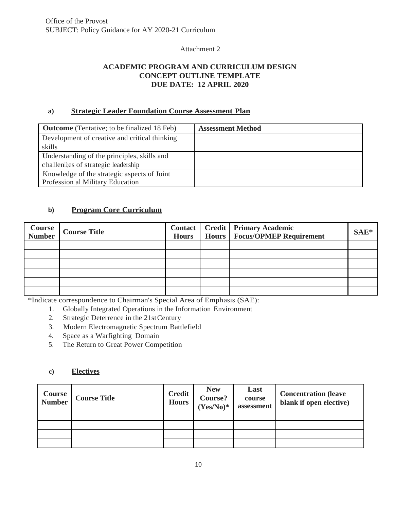### Attachment 2

# **ACADEMIC PROGRAM AND CURRICULUM DESIGN CONCEPT OUTLINE TEMPLATE DUE DATE: 12 APRIL 2020**

### **a) Strategic Leader Foundation Course Assessment Plan**

| <b>Outcome</b> (Tentative; to be finalized 18 Feb) | <b>Assessment Method</b> |
|----------------------------------------------------|--------------------------|
| Development of creative and critical thinking      |                          |
| skills                                             |                          |
| Understanding of the principles, skills and        |                          |
| challenlages of strategic leadership               |                          |
| Knowledge of the strategic aspects of Joint        |                          |
| Profession al Military Education                   |                          |

# **b) Program Core Curriculum**

| <b>Course</b><br>Number | <b>Course Title</b> | <b>Hours</b> | <b>Contact   Credit   Primary Academic</b><br>Hours   Focus/OPMEP Requirement | $SAE*$ |
|-------------------------|---------------------|--------------|-------------------------------------------------------------------------------|--------|
|                         |                     |              |                                                                               |        |
|                         |                     |              |                                                                               |        |
|                         |                     |              |                                                                               |        |
|                         |                     |              |                                                                               |        |
|                         |                     |              |                                                                               |        |
|                         |                     |              |                                                                               |        |

\*Indicate correspondence to Chairman's Special Area of Emphasis (SAE):

- 1. Globally Integrated Operations in the Information Environment
- 2. Strategic Deterrence in the 21st Century
- 3. Modern Electromagnetic Spectrum Battlefield
- 4. Space as a Warfighting Domain
- 5. The Return to Great Power Competition

### **c) Electives**

| <b>Course</b><br><b>Number</b> | <b>Course Title</b> | <b>Credit</b><br><b>Hours</b> | <b>New</b><br>Course?<br>$(Yes/No)*$ | Last<br>course<br>assessment | <b>Concentration (leave</b><br>blank if open elective) |
|--------------------------------|---------------------|-------------------------------|--------------------------------------|------------------------------|--------------------------------------------------------|
|                                |                     |                               |                                      |                              |                                                        |
|                                |                     |                               |                                      |                              |                                                        |
|                                |                     |                               |                                      |                              |                                                        |
|                                |                     |                               |                                      |                              |                                                        |